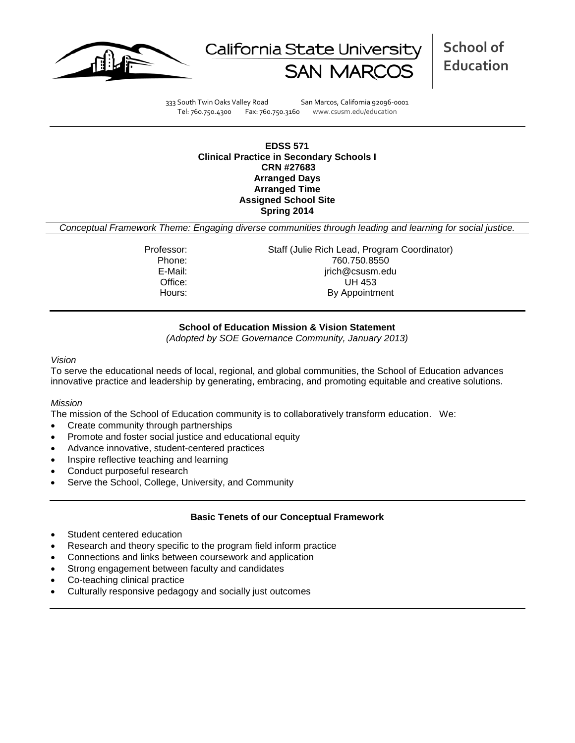



**School of Education**

333 South Twin Oaks Valley Road San Marcos, California 92096-0001 Tel: 760.750.4300 Fax: 760.750.3160 www.csusm.edu/education

**EDSS 571 Clinical Practice in Secondary Schools I CRN #27683 Arranged Days Arranged Time Assigned School Site Spring 2014** 

*Conceptual Framework Theme: Engaging diverse communities through leading and learning for social justice.*

Professor: Staff (Julie Rich Lead, Program Coordinator) Phone: 760.750.8550<br>E-Mail: 760.750.8550<br>E-Mail: 760.750.8550 jrich@csusm.edu Office: UH 453 Hours: By Appointment

# **School of Education Mission & Vision Statement**

*(Adopted by SOE Governance Community, January 2013)*

### *Vision*

To serve the educational needs of local, regional, and global communities, the School of Education advances innovative practice and leadership by generating, embracing, and promoting equitable and creative solutions.

### *Mission*

The mission of the School of Education community is to collaboratively transform education. We:

- Create community through partnerships
- Promote and foster social justice and educational equity
- Advance innovative, student-centered practices
- Inspire reflective teaching and learning
- Conduct purposeful research
- Serve the School, College, University, and Community

### **Basic Tenets of our Conceptual Framework**

- Student centered education
- Research and theory specific to the program field inform practice
- Connections and links between coursework and application
- Strong engagement between faculty and candidates
- Co-teaching clinical practice
- Culturally responsive pedagogy and socially just outcomes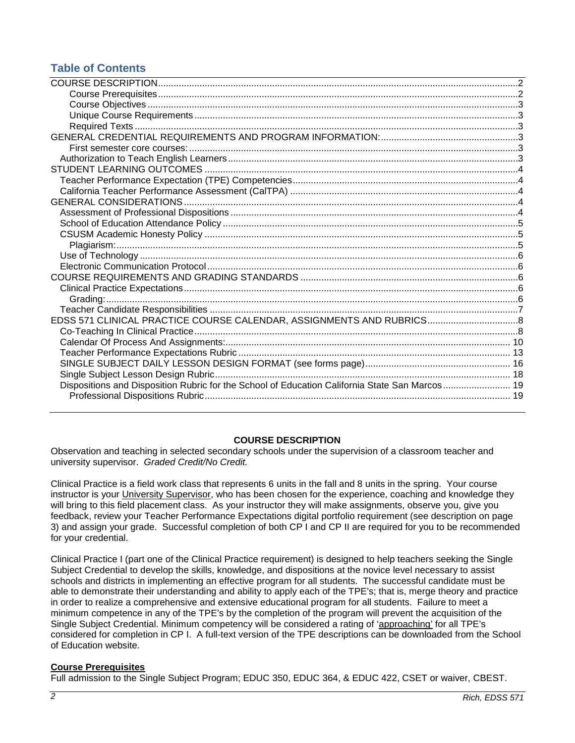# **Table of Contents**

| EDSS 571 CLINICAL PRACTICE COURSE CALENDAR, ASSIGNMENTS AND RUBRICS 8                          |  |
|------------------------------------------------------------------------------------------------|--|
|                                                                                                |  |
|                                                                                                |  |
|                                                                                                |  |
|                                                                                                |  |
|                                                                                                |  |
| Dispositions and Disposition Rubric for the School of Education California State San Marcos 19 |  |
|                                                                                                |  |
|                                                                                                |  |

# **COURSE DESCRIPTION**

<span id="page-1-0"></span>Observation and teaching in selected secondary schools under the supervision of a classroom teacher and university supervisor. *Graded Credit/No Credit.*

Clinical Practice is a field work class that represents 6 units in the fall and 8 units in the spring. Your course instructor is your University Supervisor, who has been chosen for the experience, coaching and knowledge they will bring to this field placement class. As your instructor they will make assignments, observe you, give you feedback, review your Teacher Performance Expectations digital portfolio requirement (see description on page 3) and assign your grade. Successful completion of both CP I and CP II are required for you to be recommended for your credential.

Clinical Practice I (part one of the Clinical Practice requirement) is designed to help teachers seeking the Single Subject Credential to develop the skills, knowledge, and dispositions at the novice level necessary to assist schools and districts in implementing an effective program for all students. The successful candidate must be able to demonstrate their understanding and ability to apply each of the TPE's; that is, merge theory and practice in order to realize a comprehensive and extensive educational program for all students. Failure to meet a minimum competence in any of the TPE's by the completion of the program will prevent the acquisition of the Single Subject Credential. Minimum competency will be considered a rating of 'approaching' for all TPE's considered for completion in CP I. A full-text version of the TPE descriptions can be downloaded from the School of Education website.

# <span id="page-1-1"></span>**Course Prerequisites**

Full admission to the Single Subject Program; EDUC 350, EDUC 364, & EDUC 422, CSET or waiver, CBEST.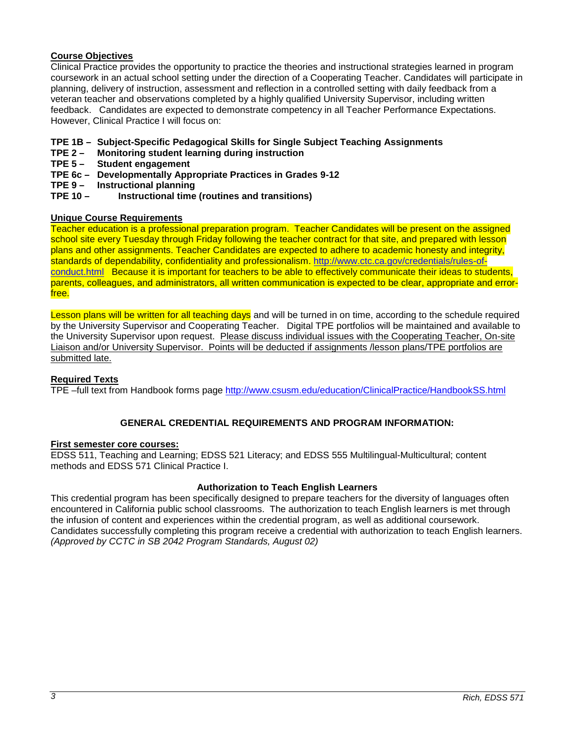# <span id="page-2-0"></span>**Course Objectives**

Clinical Practice provides the opportunity to practice the theories and instructional strategies learned in program coursework in an actual school setting under the direction of a Cooperating Teacher. Candidates will participate in planning, delivery of instruction, assessment and reflection in a controlled setting with daily feedback from a veteran teacher and observations completed by a highly qualified University Supervisor, including written feedback. Candidates are expected to demonstrate competency in all Teacher Performance Expectations. However, Clinical Practice I will focus on:

- **TPE 1B – Subject-Specific Pedagogical Skills for Single Subject Teaching Assignments**
- **TPE 2 Monitoring student learning during instruction**
- **Student engagement**
- **TPE 6c – Developmentally Appropriate Practices in Grades 9-12**
- **TPE 9 Instructional planning**
- **TPE 10 Instructional time (routines and transitions)**

### <span id="page-2-1"></span>**Unique Course Requirements**

Teacher education is a professional preparation program. Teacher Candidates will be present on the assigned school site every Tuesday through Friday following the teacher contract for that site, and prepared with lesson plans and other assignments. Teacher Candidates are expected to adhere to academic honesty and integrity, standards of dependability, confidentiality and professionalism. [http://www.ctc.ca.gov/credentials/rules-of](http://www.ctc.ca.gov/credentials/rules-of-conduct.html)[conduct.html](http://www.ctc.ca.gov/credentials/rules-of-conduct.html) Because it is important for teachers to be able to effectively communicate their ideas to students, parents, colleagues, and administrators, all written communication is expected to be clear, appropriate and errorfree.

Lesson plans will be written for all teaching days and will be turned in on time, according to the schedule required by the University Supervisor and Cooperating Teacher. Digital TPE portfolios will be maintained and available to the University Supervisor upon request. Please discuss individual issues with the Cooperating Teacher, On-site Liaison and/or University Supervisor. Points will be deducted if assignments /lesson plans/TPE portfolios are submitted late.

### <span id="page-2-2"></span>**Required Texts**

TPE –full text from Handbook forms page<http://www.csusm.edu/education/ClinicalPractice/HandbookSS.html>

# **GENERAL CREDENTIAL REQUIREMENTS AND PROGRAM INFORMATION:**

### <span id="page-2-4"></span><span id="page-2-3"></span>**First semester core courses:**

EDSS 511, Teaching and Learning; EDSS 521 Literacy; and EDSS 555 Multilingual-Multicultural; content methods and EDSS 571 Clinical Practice I.

### **Authorization to Teach English Learners**

<span id="page-2-5"></span>This credential program has been specifically designed to prepare teachers for the diversity of languages often encountered in California public school classrooms. The authorization to teach English learners is met through the infusion of content and experiences within the credential program, as well as additional coursework. Candidates successfully completing this program receive a credential with authorization to teach English learners. *(Approved by CCTC in SB 2042 Program Standards, August 02)*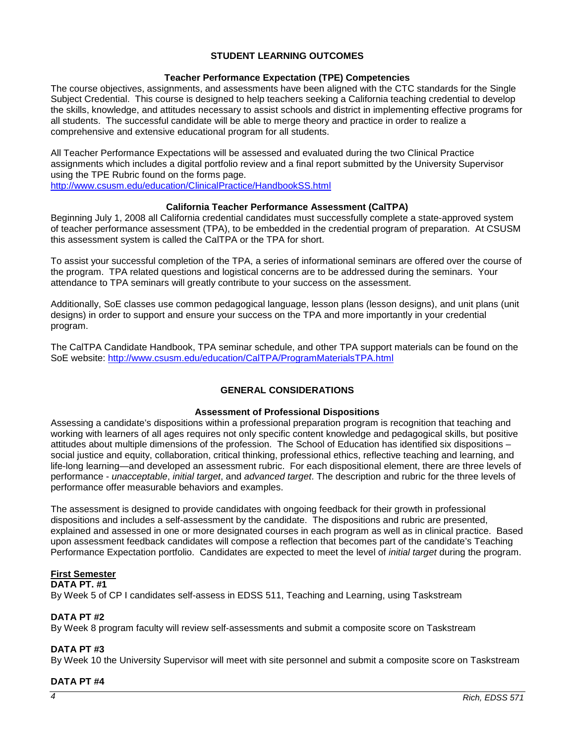# **STUDENT LEARNING OUTCOMES**

# **Teacher Performance Expectation (TPE) Competencies**

<span id="page-3-1"></span><span id="page-3-0"></span>The course objectives, assignments, and assessments have been aligned with the CTC standards for the Single Subject Credential.This course is designed to help teachers seeking a California teaching credential to develop the skills, knowledge, and attitudes necessary to assist schools and district in implementing effective programs for all students. The successful candidate will be able to merge theory and practice in order to realize a comprehensive and extensive educational program for all students.

All Teacher Performance Expectations will be assessed and evaluated during the two Clinical Practice assignments which includes a digital portfolio review and a final report submitted by the University Supervisor using the TPE Rubric found on the forms page.

<http://www.csusm.edu/education/ClinicalPractice/HandbookSS.html>

# **California Teacher Performance Assessment (CalTPA)**

<span id="page-3-2"></span>Beginning July 1, 2008 all California credential candidates must successfully complete a state-approved system of teacher performance assessment (TPA), to be embedded in the credential program of preparation. At CSUSM this assessment system is called the CalTPA or the TPA for short.

To assist your successful completion of the TPA, a series of informational seminars are offered over the course of the program. TPA related questions and logistical concerns are to be addressed during the seminars. Your attendance to TPA seminars will greatly contribute to your success on the assessment.

Additionally, SoE classes use common pedagogical language, lesson plans (lesson designs), and unit plans (unit designs) in order to support and ensure your success on the TPA and more importantly in your credential program.

The CalTPA Candidate Handbook, TPA seminar schedule, and other TPA support materials can be found on the SoE website: <http://www.csusm.edu/education/CalTPA/ProgramMaterialsTPA.html>

### **GENERAL CONSIDERATIONS**

### **Assessment of Professional Dispositions**

<span id="page-3-4"></span><span id="page-3-3"></span>Assessing a candidate's dispositions within a professional preparation program is recognition that teaching and working with learners of all ages requires not only specific content knowledge and pedagogical skills, but positive attitudes about multiple dimensions of the profession. The School of Education has identified six dispositions – social justice and equity, collaboration, critical thinking, professional ethics, reflective teaching and learning, and life-long learning—and developed an assessment rubric. For each dispositional element, there are three levels of performance - *unacceptable*, *initial target*, and *advanced target*. The description and rubric for the three levels of performance offer measurable behaviors and examples.

The assessment is designed to provide candidates with ongoing feedback for their growth in professional dispositions and includes a self-assessment by the candidate. The dispositions and rubric are presented, explained and assessed in one or more designated courses in each program as well as in clinical practice. Based upon assessment feedback candidates will compose a reflection that becomes part of the candidate's Teaching Performance Expectation portfolio. Candidates are expected to meet the level of *initial target* during the program.

# **First Semester**

### **DATA PT. #1**

By Week 5 of CP I candidates self-assess in EDSS 511, Teaching and Learning, using Taskstream

### **DATA PT #2**

By Week 8 program faculty will review self-assessments and submit a composite score on Taskstream

### **DATA PT #3**

By Week 10 the University Supervisor will meet with site personnel and submit a composite score on Taskstream

### **DATA PT #4**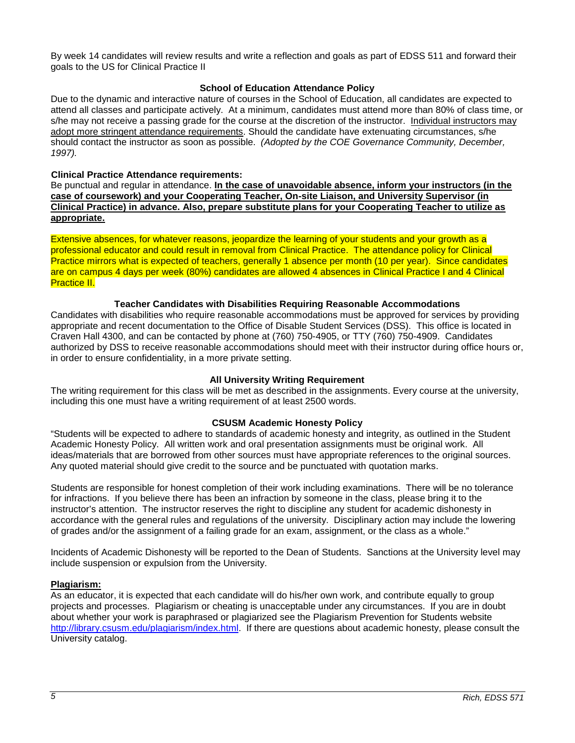By week 14 candidates will review results and write a reflection and goals as part of EDSS 511 and forward their goals to the US for Clinical Practice II

# **School of Education Attendance Policy**

<span id="page-4-0"></span>Due to the dynamic and interactive nature of courses in the School of Education, all candidates are expected to attend all classes and participate actively. At a minimum, candidates must attend more than 80% of class time, or s/he may not receive a passing grade for the course at the discretion of the instructor. Individual instructors may adopt more stringent attendance requirements. Should the candidate have extenuating circumstances, s/he should contact the instructor as soon as possible. *(Adopted by the COE Governance Community, December, 1997).*

### **Clinical Practice Attendance requirements:**

Be punctual and regular in attendance. **In the case of unavoidable absence, inform your instructors (in the case of coursework) and your Cooperating Teacher, On-site Liaison, and University Supervisor (in Clinical Practice) in advance. Also, prepare substitute plans for your Cooperating Teacher to utilize as appropriate.**

Extensive absences, for whatever reasons, jeopardize the learning of your students and your growth as a professional educator and could result in removal from Clinical Practice. The attendance policy for Clinical Practice mirrors what is expected of teachers, generally 1 absence per month (10 per year). Since candidates are on campus 4 days per week (80%) candidates are allowed 4 absences in Clinical Practice I and 4 Clinical Practice II.

### **Teacher Candidates with Disabilities Requiring Reasonable Accommodations**

Candidates with disabilities who require reasonable accommodations must be approved for services by providing appropriate and recent documentation to the Office of Disable Student Services (DSS). This office is located in Craven Hall 4300, and can be contacted by phone at (760) 750-4905, or TTY (760) 750-4909. Candidates authorized by DSS to receive reasonable accommodations should meet with their instructor during office hours or, in order to ensure confidentiality, in a more private setting.

# **All University Writing Requirement**

The writing requirement for this class will be met as described in the assignments. Every course at the university, including this one must have a writing requirement of at least 2500 words.

### **CSUSM Academic Honesty Policy**

<span id="page-4-1"></span>"Students will be expected to adhere to standards of academic honesty and integrity, as outlined in the Student Academic Honesty Policy. All written work and oral presentation assignments must be original work. All ideas/materials that are borrowed from other sources must have appropriate references to the original sources. Any quoted material should give credit to the source and be punctuated with quotation marks.

Students are responsible for honest completion of their work including examinations. There will be no tolerance for infractions. If you believe there has been an infraction by someone in the class, please bring it to the instructor's attention. The instructor reserves the right to discipline any student for academic dishonesty in accordance with the general rules and regulations of the university. Disciplinary action may include the lowering of grades and/or the assignment of a failing grade for an exam, assignment, or the class as a whole."

Incidents of Academic Dishonesty will be reported to the Dean of Students. Sanctions at the University level may include suspension or expulsion from the University.

### <span id="page-4-2"></span>**Plagiarism:**

As an educator, it is expected that each candidate will do his/her own work, and contribute equally to group projects and processes. Plagiarism or cheating is unacceptable under any circumstances. If you are in doubt about whether your work is paraphrased or plagiarized see the Plagiarism Prevention for Students website [http://library.csusm.edu/plagiarism/index.html.](http://library.csusm.edu/plagiarism/index.html) If there are questions about academic honesty, please consult the University catalog.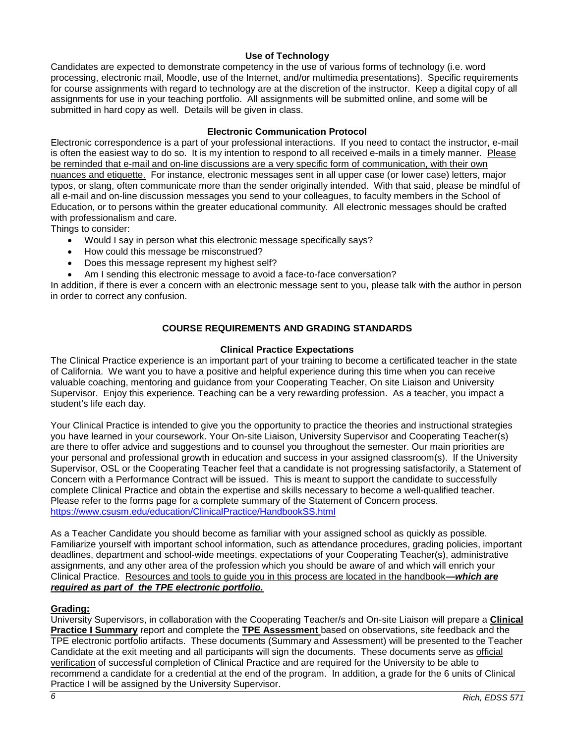# **Use of Technology**

<span id="page-5-0"></span>Candidates are expected to demonstrate competency in the use of various forms of technology (i.e. word processing, electronic mail, Moodle, use of the Internet, and/or multimedia presentations). Specific requirements for course assignments with regard to technology are at the discretion of the instructor. Keep a digital copy of all assignments for use in your teaching portfolio. All assignments will be submitted online, and some will be submitted in hard copy as well. Details will be given in class.

# **Electronic Communication Protocol**

<span id="page-5-1"></span>Electronic correspondence is a part of your professional interactions. If you need to contact the instructor, e-mail is often the easiest way to do so. It is my intention to respond to all received e-mails in a timely manner. Please be reminded that e-mail and on-line discussions are a very specific form of communication, with their own nuances and etiquette. For instance, electronic messages sent in all upper case (or lower case) letters, major typos, or slang, often communicate more than the sender originally intended. With that said, please be mindful of all e-mail and on-line discussion messages you send to your colleagues, to faculty members in the School of Education, or to persons within the greater educational community. All electronic messages should be crafted with professionalism and care.

Things to consider:

- Would I say in person what this electronic message specifically says?
- How could this message be misconstrued?
- Does this message represent my highest self?
- Am I sending this electronic message to avoid a face-to-face conversation?

In addition, if there is ever a concern with an electronic message sent to you, please talk with the author in person in order to correct any confusion.

# **COURSE REQUIREMENTS AND GRADING STANDARDS**

### **Clinical Practice Expectations**

<span id="page-5-3"></span><span id="page-5-2"></span>The Clinical Practice experience is an important part of your training to become a certificated teacher in the state of California. We want you to have a positive and helpful experience during this time when you can receive valuable coaching, mentoring and guidance from your Cooperating Teacher, On site Liaison and University Supervisor. Enjoy this experience. Teaching can be a very rewarding profession. As a teacher, you impact a student's life each day.

Your Clinical Practice is intended to give you the opportunity to practice the theories and instructional strategies you have learned in your coursework. Your On-site Liaison, University Supervisor and Cooperating Teacher(s) are there to offer advice and suggestions and to counsel you throughout the semester. Our main priorities are your personal and professional growth in education and success in your assigned classroom(s). If the University Supervisor, OSL or the Cooperating Teacher feel that a candidate is not progressing satisfactorily, a Statement of Concern with a Performance Contract will be issued. This is meant to support the candidate to successfully complete Clinical Practice and obtain the expertise and skills necessary to become a well-qualified teacher. Please refer to the forms page for a complete summary of the Statement of Concern process. <https://www.csusm.edu/education/ClinicalPractice/HandbookSS.html>

As a Teacher Candidate you should become as familiar with your assigned school as quickly as possible. Familiarize yourself with important school information, such as attendance procedures, grading policies, important deadlines, department and school-wide meetings, expectations of your Cooperating Teacher(s), administrative assignments, and any other area of the profession which you should be aware of and which will enrich your Clinical Practice. Resources and tools to guide you in this process are located in the handbook**—***which are required as part of the TPE electronic portfolio.*

# <span id="page-5-4"></span>**Grading:**

University Supervisors, in collaboration with the Cooperating Teacher/s and On-site Liaison will prepare a **Clinical Practice I Summary** report and complete the **TPE Assessment** based on observations, site feedback and the TPE electronic portfolio artifacts. These documents (Summary and Assessment) will be presented to the Teacher Candidate at the exit meeting and all participants will sign the documents. These documents serve as official verification of successful completion of Clinical Practice and are required for the University to be able to recommend a candidate for a credential at the end of the program. In addition, a grade for the 6 units of Clinical Practice I will be assigned by the University Supervisor.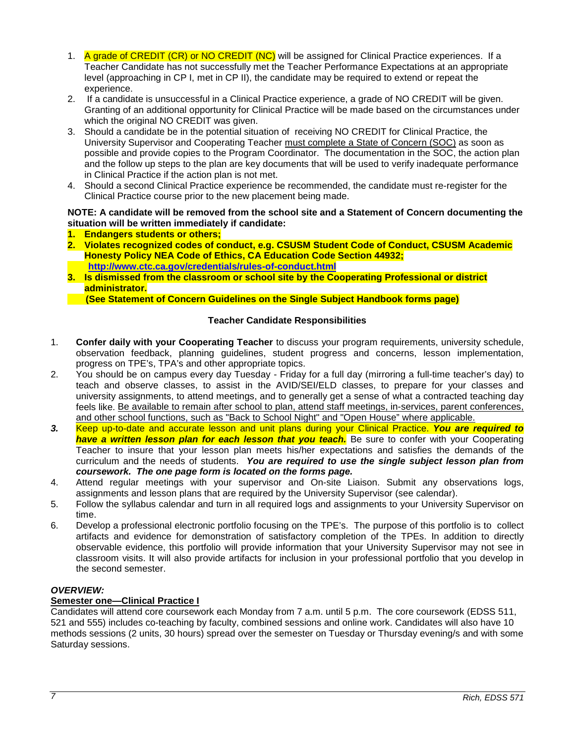- 1. A grade of CREDIT (CR) or NO CREDIT (NC) will be assigned for Clinical Practice experiences. If a Teacher Candidate has not successfully met the Teacher Performance Expectations at an appropriate level (approaching in CP I, met in CP II), the candidate may be required to extend or repeat the experience.
- 2. If a candidate is unsuccessful in a Clinical Practice experience, a grade of NO CREDIT will be given. Granting of an additional opportunity for Clinical Practice will be made based on the circumstances under which the original NO CREDIT was given.
- 3. Should a candidate be in the potential situation of receiving NO CREDIT for Clinical Practice, the University Supervisor and Cooperating Teacher must complete a State of Concern (SOC) as soon as possible and provide copies to the Program Coordinator. The documentation in the SOC, the action plan and the follow up steps to the plan are key documents that will be used to verify inadequate performance in Clinical Practice if the action plan is not met.
- 4. Should a second Clinical Practice experience be recommended, the candidate must re-register for the Clinical Practice course prior to the new placement being made.

# **NOTE: A candidate will be removed from the school site and a Statement of Concern documenting the situation will be written immediately if candidate:**

- **1. Endangers students or others;**
- **2. Violates recognized codes of conduct, e.g. CSUSM Student Code of Conduct, CSUSM Academic Honesty Policy NEA Code of Ethics, CA Education Code Section 44932; <http://www.ctc.ca.gov/credentials/rules-of-conduct.html>**
- **3. Is dismissed from the classroom or school site by the Cooperating Professional or district administrator.**

 **(See Statement of Concern Guidelines on the Single Subject Handbook forms page)**

# **Teacher Candidate Responsibilities**

- <span id="page-6-0"></span>1. **Confer daily with your Cooperating Teacher** to discuss your program requirements, university schedule, observation feedback, planning guidelines, student progress and concerns, lesson implementation, progress on TPE's, TPA's and other appropriate topics.
- 2. You should be on campus every day Tuesday Friday for a full day (mirroring a full-time teacher's day) to teach and observe classes, to assist in the AVID/SEI/ELD classes, to prepare for your classes and university assignments, to attend meetings, and to generally get a sense of what a contracted teaching day feels like. Be available to remain after school to plan, attend staff meetings, in-services, parent conferences, and other school functions, such as "Back to School Night" and "Open House" where applicable.
- *3.* Keep up-to-date and accurate lesson and unit plans during your Clinical Practice. *You are required to have a written lesson plan for each lesson that you teach.* Be sure to confer with your Cooperating Teacher to insure that your lesson plan meets his/her expectations and satisfies the demands of the curriculum and the needs of students. *You are required to use the single subject lesson plan from coursework. The one page form is located on the forms page.*
- 4. Attend regular meetings with your supervisor and On-site Liaison. Submit any observations logs, assignments and lesson plans that are required by the University Supervisor (see calendar).
- 5. Follow the syllabus calendar and turn in all required logs and assignments to your University Supervisor on time.
- 6. Develop a professional electronic portfolio focusing on the TPE's. The purpose of this portfolio is to collect artifacts and evidence for demonstration of satisfactory completion of the TPEs. In addition to directly observable evidence, this portfolio will provide information that your University Supervisor may not see in classroom visits. It will also provide artifacts for inclusion in your professional portfolio that you develop in the second semester.

# *OVERVIEW:*

# **Semester one—Clinical Practice I**

Candidates will attend core coursework each Monday from 7 a.m. until 5 p.m. The core coursework (EDSS 511, 521 and 555) includes co-teaching by faculty, combined sessions and online work. Candidates will also have 10 methods sessions (2 units, 30 hours) spread over the semester on Tuesday or Thursday evening/s and with some Saturday sessions.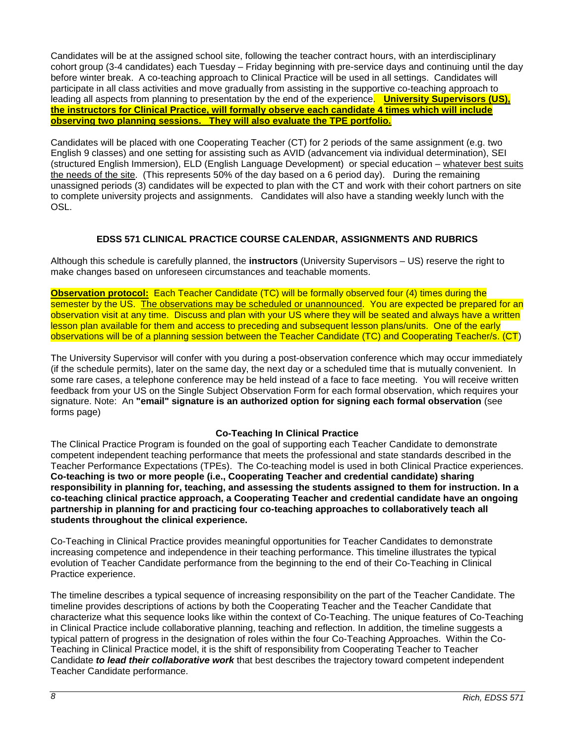Candidates will be at the assigned school site, following the teacher contract hours, with an interdisciplinary cohort group (3-4 candidates) each Tuesday – Friday beginning with pre-service days and continuing until the day before winter break. A co-teaching approach to Clinical Practice will be used in all settings. Candidates will participate in all class activities and move gradually from assisting in the supportive co-teaching approach to leading all aspects from planning to presentation by the end of the experience. **University Supervisors (US), the instructors for Clinical Practice, will formally observe each candidate 4 times which will include observing two planning sessions. They will also evaluate the TPE portfolio.**

Candidates will be placed with one Cooperating Teacher (CT) for 2 periods of the same assignment (e.g. two English 9 classes) and one setting for assisting such as AVID (advancement via individual determination), SEI (structured English Immersion), ELD (English Language Development) or special education – whatever best suits the needs of the site. (This represents 50% of the day based on a 6 period day). During the remaining unassigned periods (3) candidates will be expected to plan with the CT and work with their cohort partners on site to complete university projects and assignments. Candidates will also have a standing weekly lunch with the OSL.

# **EDSS 571 CLINICAL PRACTICE COURSE CALENDAR, ASSIGNMENTS AND RUBRICS**

<span id="page-7-0"></span>Although this schedule is carefully planned, the **instructors** (University Supervisors – US) reserve the right to make changes based on unforeseen circumstances and teachable moments.

**Observation protocol:** Each Teacher Candidate (TC) will be formally observed four (4) times during the semester by the US. The observations may be scheduled or unannounced. You are expected be prepared for an observation visit at any time. Discuss and plan with your US where they will be seated and always have a written lesson plan available for them and access to preceding and subsequent lesson plans/units. One of the early observations will be of a planning session between the Teacher Candidate (TC) and Cooperating Teacher/s. (CT)

The University Supervisor will confer with you during a post-observation conference which may occur immediately (if the schedule permits), later on the same day, the next day or a scheduled time that is mutually convenient. In some rare cases, a telephone conference may be held instead of a face to face meeting. You will receive written feedback from your US on the Single Subject Observation Form for each formal observation, which requires your signature. Note: An **"email" signature is an authorized option for signing each formal observation** (see forms page)

# **Co-Teaching In Clinical Practice**

<span id="page-7-1"></span>The Clinical Practice Program is founded on the goal of supporting each Teacher Candidate to demonstrate competent independent teaching performance that meets the professional and state standards described in the Teacher Performance Expectations (TPEs). The Co-teaching model is used in both Clinical Practice experiences. **Co-teaching is two or more people (i.e., Cooperating Teacher and credential candidate) sharing responsibility in planning for, teaching, and assessing the students assigned to them for instruction. In a co-teaching clinical practice approach, a Cooperating Teacher and credential candidate have an ongoing partnership in planning for and practicing four co-teaching approaches to collaboratively teach all students throughout the clinical experience.** 

Co-Teaching in Clinical Practice provides meaningful opportunities for Teacher Candidates to demonstrate increasing competence and independence in their teaching performance. This timeline illustrates the typical evolution of Teacher Candidate performance from the beginning to the end of their Co-Teaching in Clinical Practice experience.

The timeline describes a typical sequence of increasing responsibility on the part of the Teacher Candidate. The timeline provides descriptions of actions by both the Cooperating Teacher and the Teacher Candidate that characterize what this sequence looks like within the context of Co-Teaching. The unique features of Co-Teaching in Clinical Practice include collaborative planning, teaching and reflection. In addition, the timeline suggests a typical pattern of progress in the designation of roles within the four Co-Teaching Approaches. Within the Co-Teaching in Clinical Practice model, it is the shift of responsibility from Cooperating Teacher to Teacher Candidate *to lead their collaborative work* that best describes the trajectory toward competent independent Teacher Candidate performance.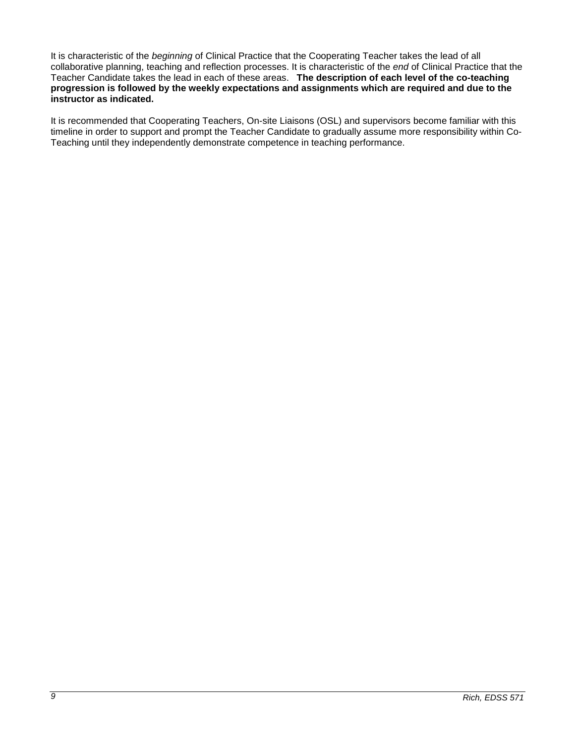It is characteristic of the *beginning* of Clinical Practice that the Cooperating Teacher takes the lead of all collaborative planning, teaching and reflection processes. It is characteristic of the *end* of Clinical Practice that the Teacher Candidate takes the lead in each of these areas. **The description of each level of the co-teaching progression is followed by the weekly expectations and assignments which are required and due to the instructor as indicated.**

It is recommended that Cooperating Teachers, On-site Liaisons (OSL) and supervisors become familiar with this timeline in order to support and prompt the Teacher Candidate to gradually assume more responsibility within Co-Teaching until they independently demonstrate competence in teaching performance.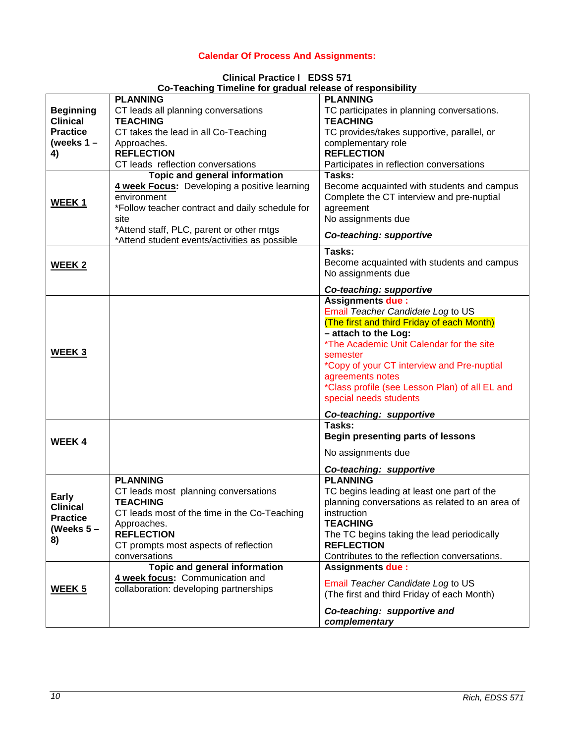# **Calendar Of Process And Assignments:**

|  | <b>Clinical Practice I EDSS 571</b> |                                                            |  |
|--|-------------------------------------|------------------------------------------------------------|--|
|  |                                     | Co-Teaching Timeline for gradual release of responsibility |  |

<span id="page-9-0"></span>

|                                                                        | oo Teadhing Timenne for graaaarteicase or responsibility                                                                                                                                                                                             |                                                                                                                                                                                                                                                                                                                                                                     |
|------------------------------------------------------------------------|------------------------------------------------------------------------------------------------------------------------------------------------------------------------------------------------------------------------------------------------------|---------------------------------------------------------------------------------------------------------------------------------------------------------------------------------------------------------------------------------------------------------------------------------------------------------------------------------------------------------------------|
| <b>Beginning</b><br><b>Clinical</b><br><b>Practice</b><br>(weeks $1 -$ | <b>PLANNING</b><br>CT leads all planning conversations<br><b>TEACHING</b><br>CT takes the lead in all Co-Teaching<br>Approaches.                                                                                                                     | <b>PLANNING</b><br>TC participates in planning conversations.<br><b>TEACHING</b><br>TC provides/takes supportive, parallel, or<br>complementary role                                                                                                                                                                                                                |
| 4)                                                                     | <b>REFLECTION</b>                                                                                                                                                                                                                                    | <b>REFLECTION</b>                                                                                                                                                                                                                                                                                                                                                   |
|                                                                        | CT leads reflection conversations                                                                                                                                                                                                                    | Participates in reflection conversations                                                                                                                                                                                                                                                                                                                            |
| WEEK <sub>1</sub>                                                      | Topic and general information<br>4 week Focus: Developing a positive learning<br>environment<br>*Follow teacher contract and daily schedule for<br>site<br>*Attend staff, PLC, parent or other mtgs<br>*Attend student events/activities as possible | Tasks:<br>Become acquainted with students and campus<br>Complete the CT interview and pre-nuptial<br>agreement<br>No assignments due<br>Co-teaching: supportive                                                                                                                                                                                                     |
| <b>WEEK 2</b>                                                          |                                                                                                                                                                                                                                                      | Tasks:<br>Become acquainted with students and campus<br>No assignments due                                                                                                                                                                                                                                                                                          |
|                                                                        |                                                                                                                                                                                                                                                      | Co-teaching: supportive                                                                                                                                                                                                                                                                                                                                             |
| WEEK <sub>3</sub>                                                      |                                                                                                                                                                                                                                                      | <b>Assignments due:</b><br>Email Teacher Candidate Log to US<br>(The first and third Friday of each Month)<br>- attach to the Log:<br>*The Academic Unit Calendar for the site<br>semester<br>*Copy of your CT interview and Pre-nuptial<br>agreements notes<br>*Class profile (see Lesson Plan) of all EL and<br>special needs students<br>Co-teaching: supportive |
| <b>WEEK4</b>                                                           |                                                                                                                                                                                                                                                      | Tasks:<br><b>Begin presenting parts of lessons</b><br>No assignments due                                                                                                                                                                                                                                                                                            |
|                                                                        |                                                                                                                                                                                                                                                      | Co-teaching: supportive                                                                                                                                                                                                                                                                                                                                             |
| Early<br><b>Clinical</b><br><b>Practice</b><br>(Weeks $5-$<br>8)       | <b>PLANNING</b><br>CT leads most planning conversations<br>TEACHING<br>CT leads most of the time in the Co-Teaching<br>Approaches.<br><b>REFLECTION</b><br>CT prompts most aspects of reflection<br>conversations                                    | <b>PLANNING</b><br>TC begins leading at least one part of the<br>planning conversations as related to an area of<br>instruction<br><b>TEACHING</b><br>The TC begins taking the lead periodically<br><b>REFLECTION</b><br>Contributes to the reflection conversations.                                                                                               |
| <u>WEEK 5</u>                                                          | Topic and general information<br>4 week focus: Communication and<br>collaboration: developing partnerships                                                                                                                                           | <b>Assignments due:</b><br>Email Teacher Candidate Log to US<br>(The first and third Friday of each Month)<br>Co-teaching: supportive and<br>complementary                                                                                                                                                                                                          |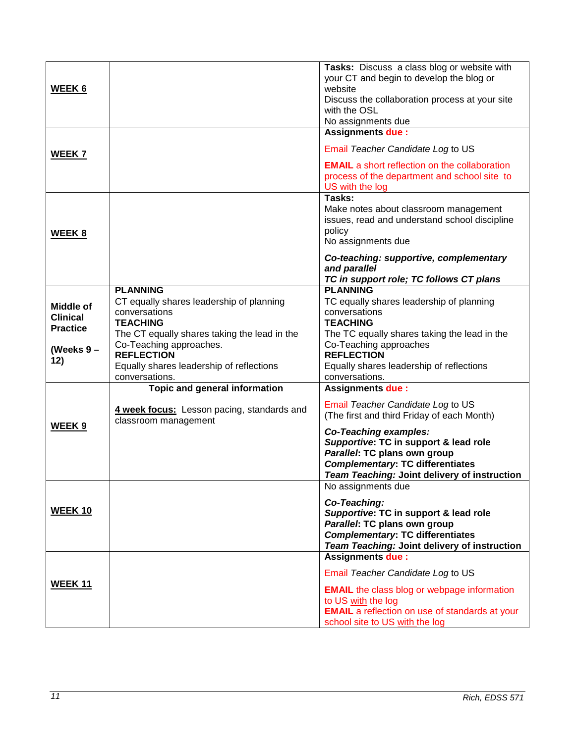| <b>WEEK 6</b><br><b>WEEK 7</b>                                               |                                                                                                                                                                                                                                                               | Tasks: Discuss a class blog or website with<br>your CT and begin to develop the blog or<br>website<br>Discuss the collaboration process at your site<br>with the OSL<br>No assignments due<br><b>Assignments due:</b><br>Email Teacher Candidate Log to US<br><b>EMAIL</b> a short reflection on the collaboration<br>process of the department and school site to |
|------------------------------------------------------------------------------|---------------------------------------------------------------------------------------------------------------------------------------------------------------------------------------------------------------------------------------------------------------|--------------------------------------------------------------------------------------------------------------------------------------------------------------------------------------------------------------------------------------------------------------------------------------------------------------------------------------------------------------------|
| WEEK 8                                                                       |                                                                                                                                                                                                                                                               | US with the log<br>Tasks:<br>Make notes about classroom management<br>issues, read and understand school discipline<br>policy<br>No assignments due<br>Co-teaching: supportive, complementary<br>and parallel<br>TC in support role; TC follows CT plans                                                                                                           |
| <b>Middle of</b><br><b>Clinical</b><br><b>Practice</b><br>(Weeks $9-$<br>12) | <b>PLANNING</b><br>CT equally shares leadership of planning<br>conversations<br><b>TEACHING</b><br>The CT equally shares taking the lead in the<br>Co-Teaching approaches.<br><b>REFLECTION</b><br>Equally shares leadership of reflections<br>conversations. | <b>PLANNING</b><br>TC equally shares leadership of planning<br>conversations<br><b>TEACHING</b><br>The TC equally shares taking the lead in the<br>Co-Teaching approaches<br><b>REFLECTION</b><br>Equally shares leadership of reflections<br>conversations.                                                                                                       |
| WEEK <sub>9</sub>                                                            | Topic and general information<br>4 week focus: Lesson pacing, standards and<br>classroom management                                                                                                                                                           | <b>Assignments due:</b><br>Email Teacher Candidate Log to US<br>(The first and third Friday of each Month)<br><b>Co-Teaching examples:</b><br>Supportive: TC in support & lead role<br>Parallel: TC plans own group<br><b>Complementary: TC differentiates</b><br>Team Teaching: Joint delivery of instruction                                                     |
| <b>WEEK 10</b>                                                               |                                                                                                                                                                                                                                                               | No assignments due<br>Co-Teaching:<br>Supportive: TC in support & lead role<br>Parallel: TC plans own group<br><b>Complementary: TC differentiates</b><br>Team Teaching: Joint delivery of instruction                                                                                                                                                             |
| <b>WEEK 11</b>                                                               |                                                                                                                                                                                                                                                               | <b>Assignments due:</b><br>Email Teacher Candidate Log to US<br><b>EMAIL</b> the class blog or webpage information<br>to US with the log<br><b>EMAIL</b> a reflection on use of standards at your<br>school site to US with the log                                                                                                                                |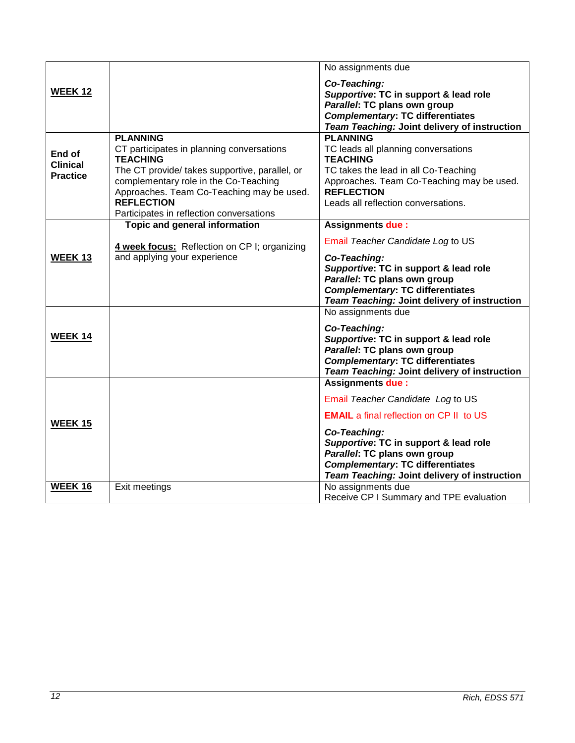|                                              |                                                                                                                                                                                                                                                                                          | No assignments due                                                                                                                                                                                                                                                                                 |
|----------------------------------------------|------------------------------------------------------------------------------------------------------------------------------------------------------------------------------------------------------------------------------------------------------------------------------------------|----------------------------------------------------------------------------------------------------------------------------------------------------------------------------------------------------------------------------------------------------------------------------------------------------|
| <b>WEEK 12</b>                               |                                                                                                                                                                                                                                                                                          | Co-Teaching:<br>Supportive: TC in support & lead role<br>Parallel: TC plans own group<br><b>Complementary: TC differentiates</b><br>Team Teaching: Joint delivery of instruction                                                                                                                   |
| End of<br><b>Clinical</b><br><b>Practice</b> | <b>PLANNING</b><br>CT participates in planning conversations<br><b>TEACHING</b><br>The CT provide/ takes supportive, parallel, or<br>complementary role in the Co-Teaching<br>Approaches. Team Co-Teaching may be used.<br><b>REFLECTION</b><br>Participates in reflection conversations | <b>PLANNING</b><br>TC leads all planning conversations<br><b>TEACHING</b><br>TC takes the lead in all Co-Teaching<br>Approaches. Team Co-Teaching may be used.<br><b>REFLECTION</b><br>Leads all reflection conversations.                                                                         |
| <b>WEEK 13</b>                               | <b>Topic and general information</b><br>4 week focus: Reflection on CP I; organizing<br>and applying your experience                                                                                                                                                                     | <b>Assignments due:</b><br>Email Teacher Candidate Log to US<br>Co-Teaching:<br>Supportive: TC in support & lead role<br>Parallel: TC plans own group<br><b>Complementary: TC differentiates</b><br>Team Teaching: Joint delivery of instruction                                                   |
| <b>WEEK 14</b>                               |                                                                                                                                                                                                                                                                                          | No assignments due<br>Co-Teaching:<br>Supportive: TC in support & lead role<br>Parallel: TC plans own group<br><b>Complementary: TC differentiates</b><br>Team Teaching: Joint delivery of instruction                                                                                             |
| <b>WEEK 15</b>                               |                                                                                                                                                                                                                                                                                          | <b>Assignments due:</b><br>Email Teacher Candidate Log to US<br><b>EMAIL</b> a final reflection on CP II to US<br>Co-Teaching:<br>Supportive: TC in support & lead role<br>Parallel: TC plans own group<br><b>Complementary: TC differentiates</b><br>Team Teaching: Joint delivery of instruction |
| WEEK 16                                      | Exit meetings                                                                                                                                                                                                                                                                            | No assignments due<br>Receive CP I Summary and TPE evaluation                                                                                                                                                                                                                                      |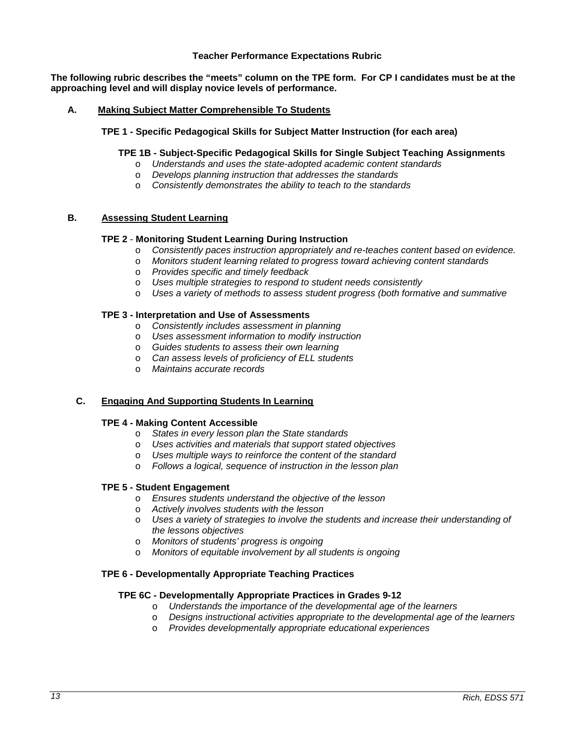### **Teacher Performance Expectations Rubric**

<span id="page-12-0"></span>**The following rubric describes the "meets" column on the TPE form. For CP I candidates must be at the approaching level and will display novice levels of performance.**

### **A. Making Subject Matter Comprehensible To Students**

### **TPE 1 - Specific Pedagogical Skills for Subject Matter Instruction (for each area)**

# **TPE 1B - Subject-Specific Pedagogical Skills for Single Subject Teaching Assignments**

- o *Understands and uses the state-adopted academic content standards*
- o *Develops planning instruction that addresses the standards*
- o *Consistently demonstrates the ability to teach to the standards*

# **B. Assessing Student Learning**

### **TPE 2** - **Monitoring Student Learning During Instruction**

- o *Consistently paces instruction appropriately and re-teaches content based on evidence.*
- o *Monitors student learning related to progress toward achieving content standards*
- o *Provides specific and timely feedback*
- o *Uses multiple strategies to respond to student needs consistently*
- o *Uses a variety of methods to assess student progress (both formative and summative*

### **TPE 3 - Interpretation and Use of Assessments**

- o *Consistently includes assessment in planning*
- o *Uses assessment information to modify instruction*
- o *Guides students to assess their own learning*
- o *Can assess levels of proficiency of ELL students*
- o *Maintains accurate records*

### **C. Engaging And Supporting Students In Learning**

#### **TPE 4 - Making Content Accessible**

- o *States in every lesson plan the State standards*
- o *Uses activities and materials that support stated objectives*
- o *Uses multiple ways to reinforce the content of the standard*
- o *Follows a logical, sequence of instruction in the lesson plan*

# **TPE 5 - Student Engagement**

- o *Ensures students understand the objective of the lesson*
- o *Actively involves students with the lesson*
- o *Uses a variety of strategies to involve the students and increase their understanding of the lessons objectives*
- o *Monitors of students' progress is ongoing*
- o *Monitors of equitable involvement by all students is ongoing*

### **TPE 6 - Developmentally Appropriate Teaching Practices**

### **TPE 6C - Developmentally Appropriate Practices in Grades 9-12**

- o *Understands the importance of the developmental age of the learners*
- o *Designs instructional activities appropriate to the developmental age of the learners*
- o *Provides developmentally appropriate educational experiences*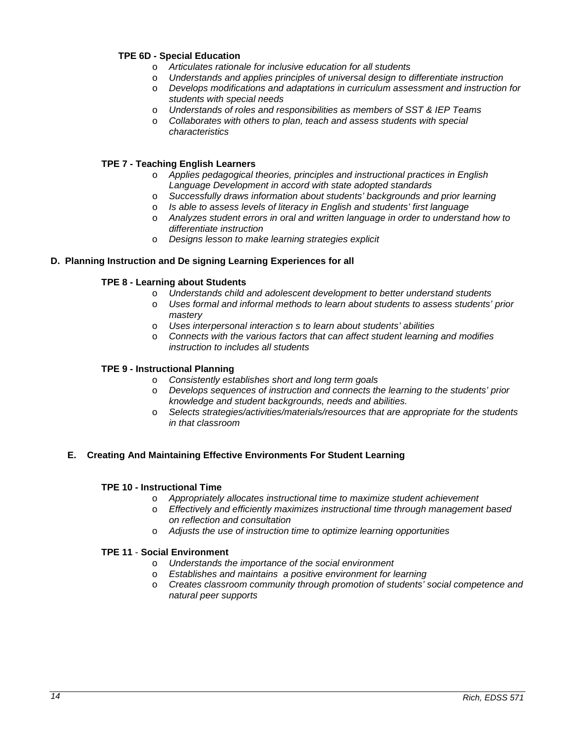# **TPE 6D - Special Education**

- o *Articulates rationale for inclusive education for all students*
- Understands and applies principles of universal design to differentiate instruction
- o *Develops modifications and adaptations in curriculum assessment and instruction for students with special needs*
- o *Understands of roles and responsibilities as members of SST & IEP Teams*
- o *Collaborates with others to plan, teach and assess students with special characteristics*

# **TPE 7 - Teaching English Learners**

- o *Applies pedagogical theories, principles and instructional practices in English Language Development in accord with state adopted standards*
- o *Successfully draws information about students' backgrounds and prior learning*
- o *Is able to assess levels of literacy in English and students' first language*
- o *Analyzes student errors in oral and written language in order to understand how to differentiate instruction*
- o *Designs lesson to make learning strategies explicit*

### **D. Planning Instruction and De signing Learning Experiences for all**

### **TPE 8 - Learning about Students**

- o *Understands child and adolescent development to better understand students*
- o *Uses formal and informal methods to learn about students to assess students' prior mastery*
- o *Uses interpersonal interaction s to learn about students' abilities*
- o *Connects with the various factors that can affect student learning and modifies instruction to includes all students*

### **TPE 9 - Instructional Planning**

- o *Consistently establishes short and long term goals*
- o *Develops sequences of instruction and connects the learning to the students' prior knowledge and student backgrounds, needs and abilities.*
- o *Selects strategies/activities/materials/resources that are appropriate for the students in that classroom*

### **E. Creating And Maintaining Effective Environments For Student Learning**

#### **TPE 10 - Instructional Time**

- o *Appropriately allocates instructional time to maximize student achievement*
- o *Effectively and efficiently maximizes instructional time through management based on reflection and consultation*
- o *Adjusts the use of instruction time to optimize learning opportunities*

### **TPE 11** - **Social Environment**

- o *Understands the importance of the social environment*
- o *Establishes and maintains a positive environment for learning*
- o *Creates classroom community through promotion of students' social competence and natural peer supports*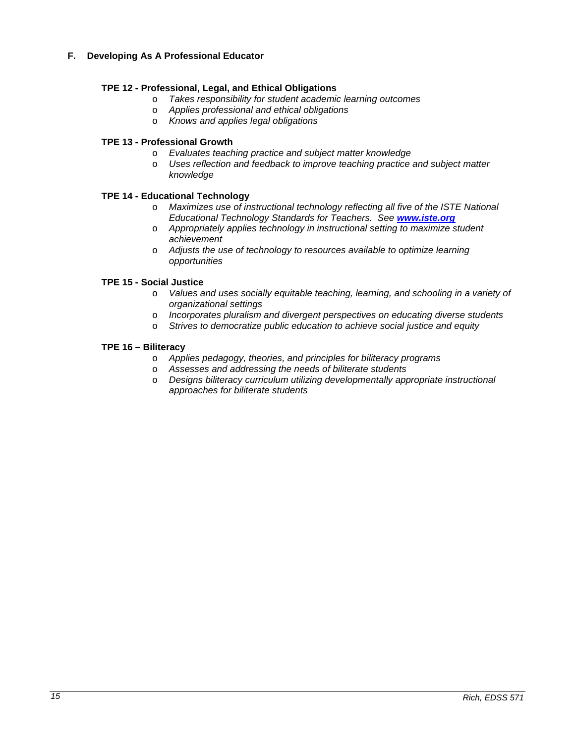# **F. Developing As A Professional Educator**

# **TPE 12 - Professional, Legal, and Ethical Obligations**

- o *Takes responsibility for student academic learning outcomes*
- o *Applies professional and ethical obligations*
- o *Knows and applies legal obligations*

# **TPE 13 - Professional Growth**

- o *Evaluates teaching practice and subject matter knowledge*
- o *Uses reflection and feedback to improve teaching practice and subject matter knowledge*

### **TPE 14 - Educational Technology**

- o *Maximizes use of instructional technology reflecting all five of the ISTE National Educational Technology Standards for Teachers. See [www.iste.org](http://www.iste.org/)*
- o *Appropriately applies technology in instructional setting to maximize student achievement*
- o *Adjusts the use of technology to resources available to optimize learning opportunities*

### **TPE 15 - Social Justice**

- o *Values and uses socially equitable teaching, learning, and schooling in a variety of organizational settings*
- o *Incorporates pluralism and divergent perspectives on educating diverse students*
- o *Strives to democratize public education to achieve social justice and equity*

### **TPE 16 – Biliteracy**

- o *Applies pedagogy, theories, and principles for biliteracy programs*
- o *Assesses and addressing the needs of biliterate students*
- o *Designs biliteracy curriculum utilizing developmentally appropriate instructional approaches for biliterate students*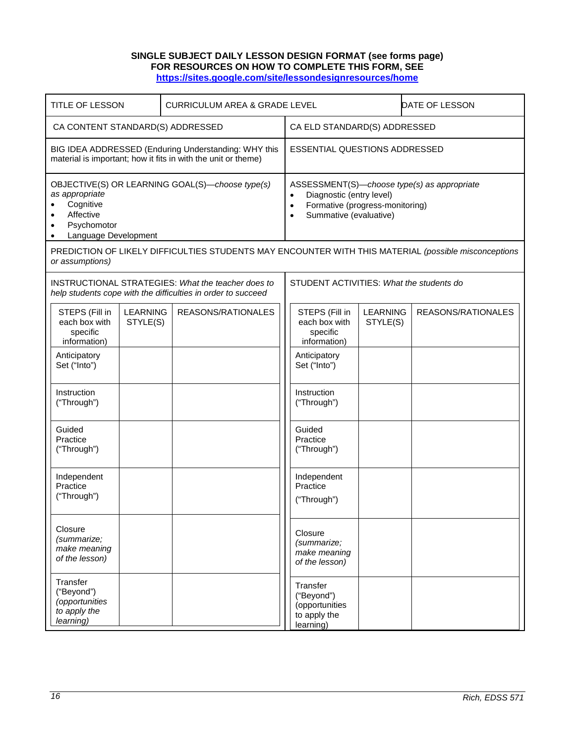### **SINGLE SUBJECT DAILY LESSON DESIGN FORMAT (see forms page) FOR RESOURCES ON HOW TO COMPLETE THIS FORM, SEE <https://sites.google.com/site/lessondesignresources/home>**

<span id="page-15-0"></span>

| <b>TITLE OF LESSON</b>                                                                                                             | <b>CURRICULUM AREA &amp; GRADE LEVEL</b>                                                                                  |                                                                                                                              |                             | DATE OF LESSON                              |
|------------------------------------------------------------------------------------------------------------------------------------|---------------------------------------------------------------------------------------------------------------------------|------------------------------------------------------------------------------------------------------------------------------|-----------------------------|---------------------------------------------|
| CA CONTENT STANDARD(S) ADDRESSED                                                                                                   |                                                                                                                           | CA ELD STANDARD(S) ADDRESSED                                                                                                 |                             |                                             |
| material is important; how it fits in with the unit or theme)                                                                      | BIG IDEA ADDRESSED (Enduring Understanding: WHY this                                                                      | <b>ESSENTIAL QUESTIONS ADDRESSED</b>                                                                                         |                             |                                             |
| OBJECTIVE(S) OR LEARNING GOAL(S)-choose type(s)<br>as appropriate<br>Cognitive<br>Affective<br>Psychomotor<br>Language Development |                                                                                                                           | Diagnostic (entry level)<br>$\bullet$<br>Formative (progress-monitoring)<br>$\bullet$<br>Summative (evaluative)<br>$\bullet$ |                             | ASSESSMENT(S)-choose type(s) as appropriate |
| or assumptions)                                                                                                                    | PREDICTION OF LIKELY DIFFICULTIES STUDENTS MAY ENCOUNTER WITH THIS MATERIAL (possible misconceptions                      |                                                                                                                              |                             |                                             |
|                                                                                                                                    | <b>INSTRUCTIONAL STRATEGIES: What the teacher does to</b><br>help students cope with the difficulties in order to succeed | STUDENT ACTIVITIES: What the students do                                                                                     |                             |                                             |
| <b>LEARNING</b><br>STEPS (Fill in<br>each box with<br>STYLE(S)<br>specific<br>information)                                         | REASONS/RATIONALES                                                                                                        | STEPS (Fill in<br>each box with<br>specific<br>information)                                                                  | <b>LEARNING</b><br>STYLE(S) | REASONS/RATIONALES                          |
| Anticipatory<br>Set ("Into")                                                                                                       |                                                                                                                           | Anticipatory<br>Set ("Into")                                                                                                 |                             |                                             |
| Instruction<br>("Through")                                                                                                         |                                                                                                                           | Instruction<br>("Through")                                                                                                   |                             |                                             |
| Guided<br>Practice<br>("Through")                                                                                                  |                                                                                                                           | Guided<br>Practice<br>("Through")                                                                                            |                             |                                             |
| Independent<br>Practice<br>("Through")                                                                                             |                                                                                                                           | Independent<br>Practice<br>("Through")                                                                                       |                             |                                             |
| Closure<br>(summarize;<br>make meaning<br>of the lesson)                                                                           |                                                                                                                           | Closure<br>(summarize;<br>make meaning<br>of the lesson)                                                                     |                             |                                             |
| Transfer<br>("Beyond")<br>(opportunities<br>to apply the<br>learning)                                                              |                                                                                                                           | Transfer<br>("Beyond")<br>(opportunities<br>to apply the<br>learning)                                                        |                             |                                             |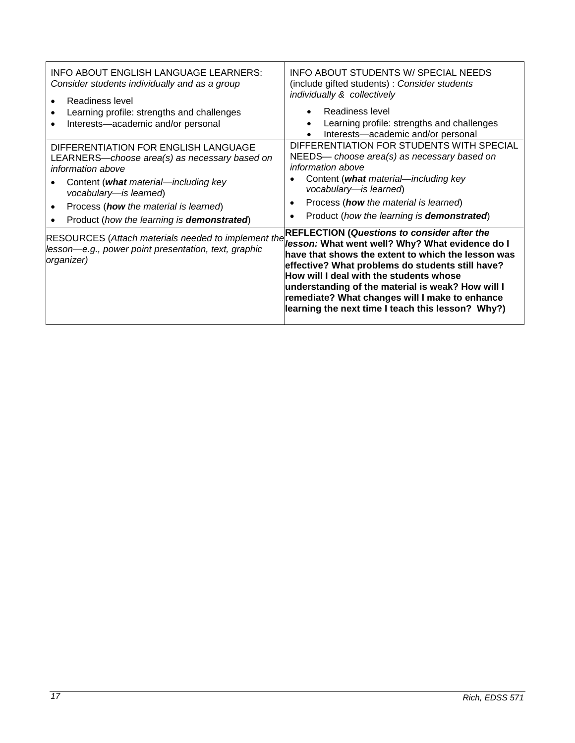| INFO ABOUT ENGLISH LANGUAGE LEARNERS:<br>Consider students individually and as a group<br>Readiness level<br>Learning profile: strengths and challenges<br>Interests-academic and/or personal                                                                              | INFO ABOUT STUDENTS W/ SPECIAL NEEDS<br>(include gifted students) : Consider students<br>individually & collectively<br>Readiness level<br>Learning profile: strengths and challenges<br>Interests-academic and/or personal<br>$\bullet$                                                                                                                                                                               |
|----------------------------------------------------------------------------------------------------------------------------------------------------------------------------------------------------------------------------------------------------------------------------|------------------------------------------------------------------------------------------------------------------------------------------------------------------------------------------------------------------------------------------------------------------------------------------------------------------------------------------------------------------------------------------------------------------------|
| DIFFERENTIATION FOR ENGLISH LANGUAGE<br>LEARNERS—choose area(s) as necessary based on<br>information above<br>Content (what material—including key<br>vocabulary-is learned)<br>Process (how the material is learned)<br>Product (how the learning is <b>demonstrated)</b> | DIFFERENTIATION FOR STUDENTS WITH SPECIAL<br>NEEDS— choose area(s) as necessary based on<br><i>information above</i><br>Content (what material—including key<br>vocabulary-is learned)<br>Process (how the material is learned)<br>٠<br>Product (how the learning is <b>demonstrated)</b><br>$\bullet$                                                                                                                 |
| <b>RESOURCES</b> (Attach materials needed to implement the<br>lesson—e.g., power point presentation, text, graphic<br> organizer)                                                                                                                                          | <b>REFLECTION (Questions to consider after the</b><br>lesson: What went well? Why? What evidence do I<br>have that shows the extent to which the lesson was<br>effective? What problems do students still have?<br>How will I deal with the students whose<br>understanding of the material is weak? How will I<br>remediate? What changes will I make to enhance<br>learning the next time I teach this lesson? Why?) |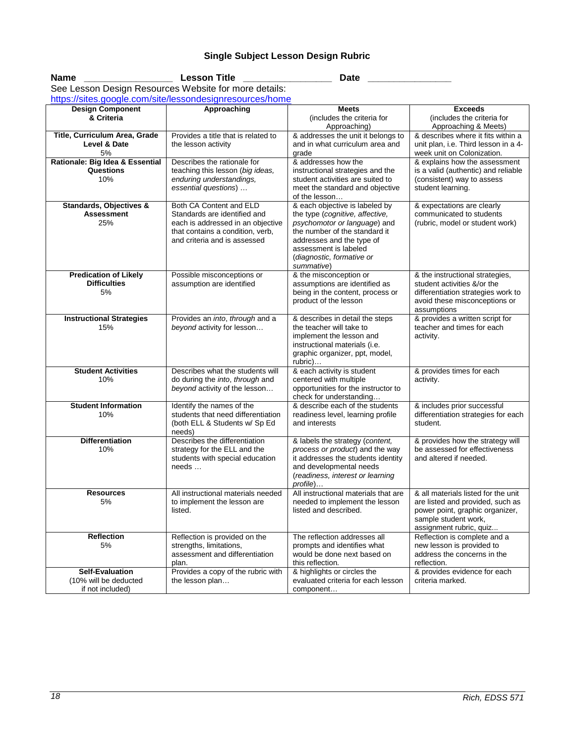# **Single Subject Lesson Design Rubric**

<span id="page-17-0"></span>Name \_\_\_\_\_\_\_\_\_\_\_\_\_\_\_\_\_\_\_\_\_\_\_\_\_\_\_\_Lesson Title \_\_\_\_\_\_\_\_\_\_\_\_\_\_\_\_\_\_\_\_\_\_\_\_\_\_\_\_\_Date \_\_\_\_\_\_\_\_\_\_\_\_\_\_\_\_\_\_\_\_\_\_\_\_\_\_\_\_\_\_

| See Lesson Design Resources Website for more details:               |                                                                                                                                                                  |                                                                                                                                                                                                                                     |                                                                                                                                                               |  |  |  |
|---------------------------------------------------------------------|------------------------------------------------------------------------------------------------------------------------------------------------------------------|-------------------------------------------------------------------------------------------------------------------------------------------------------------------------------------------------------------------------------------|---------------------------------------------------------------------------------------------------------------------------------------------------------------|--|--|--|
| https://sites.google.com/site/lessondesignresources/home            |                                                                                                                                                                  |                                                                                                                                                                                                                                     |                                                                                                                                                               |  |  |  |
| <b>Design Component</b><br>& Criteria                               | Approaching                                                                                                                                                      | <b>Meets</b><br>(includes the criteria for<br>Approaching)                                                                                                                                                                          | <b>Exceeds</b><br>(includes the criteria for<br>Approaching & Meets)                                                                                          |  |  |  |
| Title, Curriculum Area, Grade<br>Level & Date<br>5%                 | Provides a title that is related to<br>the lesson activity                                                                                                       | & addresses the unit it belongs to<br>and in what curriculum area and<br>grade                                                                                                                                                      | & describes where it fits within a<br>unit plan, i.e. Third lesson in a 4-<br>week unit on Colonization.                                                      |  |  |  |
| Rationale: Big Idea & Essential<br>Questions<br>10%                 | Describes the rationale for<br>teaching this lesson (big ideas,<br>enduring understandings,<br>essential questions)                                              | & addresses how the<br>instructional strategies and the<br>student activities are suited to<br>meet the standard and objective<br>of the lesson                                                                                     | & explains how the assessment<br>is a valid (authentic) and reliable<br>(consistent) way to assess<br>student learning.                                       |  |  |  |
| Standards, Objectives &<br><b>Assessment</b><br>25%                 | Both CA Content and ELD<br>Standards are identified and<br>each is addressed in an objective<br>that contains a condition, verb,<br>and criteria and is assessed | & each objective is labeled by<br>the type (cognitive, affective,<br>psychomotor or language) and<br>the number of the standard it<br>addresses and the type of<br>assessment is labeled<br>(diagnostic, formative or<br>summative) | & expectations are clearly<br>communicated to students<br>(rubric, model or student work)                                                                     |  |  |  |
| <b>Predication of Likely</b><br><b>Difficulties</b><br>5%           | Possible misconceptions or<br>assumption are identified                                                                                                          | & the misconception or<br>assumptions are identified as<br>being in the content, process or<br>product of the lesson                                                                                                                | & the instructional strategies,<br>student activities &/or the<br>differentiation strategies work to<br>avoid these misconceptions or<br>assumptions          |  |  |  |
| <b>Instructional Strategies</b><br>15%                              | Provides an into, through and a<br>beyond activity for lesson                                                                                                    | & describes in detail the steps<br>the teacher will take to<br>implement the lesson and<br>instructional materials (i.e.<br>graphic organizer, ppt, model,<br>rubric)                                                               | & provides a written script for<br>teacher and times for each<br>activity.                                                                                    |  |  |  |
| <b>Student Activities</b><br>10%                                    | Describes what the students will<br>do during the into, through and<br>beyond activity of the lesson                                                             | & each activity is student<br>centered with multiple<br>opportunities for the instructor to<br>check for understanding                                                                                                              | & provides times for each<br>activity.                                                                                                                        |  |  |  |
| <b>Student Information</b><br>10%                                   | Identify the names of the<br>students that need differentiation<br>(both ELL & Students w/ Sp Ed<br>needs)                                                       | & describe each of the students<br>readiness level, learning profile<br>and interests                                                                                                                                               | & includes prior successful<br>differentiation strategies for each<br>student.                                                                                |  |  |  |
| <b>Differentiation</b><br>10%                                       | Describes the differentiation<br>strategy for the ELL and the<br>students with special education<br>needs                                                        | & labels the strategy (content,<br>process or product) and the way<br>it addresses the students identity<br>and developmental needs<br>(readiness, interest or learning<br>profile)                                                 | & provides how the strategy will<br>be assessed for effectiveness<br>and altered if needed.                                                                   |  |  |  |
| <b>Resources</b><br>5%                                              | All instructional materials needed<br>to implement the lesson are<br>listed.                                                                                     | All instructional materials that are<br>needed to implement the lesson<br>listed and described.                                                                                                                                     | & all materials listed for the unit<br>are listed and provided, such as<br>power point, graphic organizer,<br>sample student work,<br>assignment rubric, quiz |  |  |  |
| <b>Reflection</b><br>5%                                             | Reflection is provided on the<br>strengths, limitations,<br>assessment and differentiation<br>plan.                                                              | The reflection addresses all<br>prompts and identifies what<br>would be done next based on<br>this reflection.                                                                                                                      | Reflection is complete and a<br>new lesson is provided to<br>address the concerns in the<br>reflection.                                                       |  |  |  |
| <b>Self-Evaluation</b><br>(10% will be deducted<br>if not included) | Provides a copy of the rubric with<br>the lesson plan                                                                                                            | & highlights or circles the<br>evaluated criteria for each lesson<br>component                                                                                                                                                      | & provides evidence for each<br>criteria marked.                                                                                                              |  |  |  |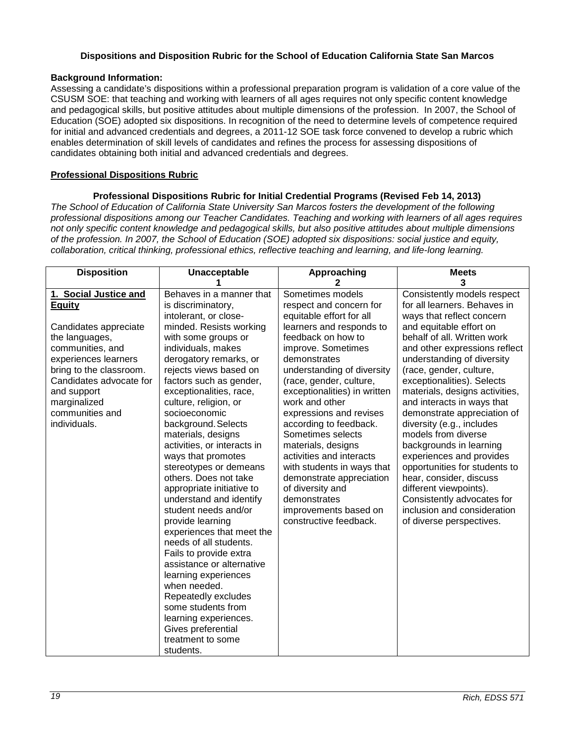# **Dispositions and Disposition Rubric for the School of Education California State San Marcos**

# <span id="page-18-0"></span>**Background Information:**

Assessing a candidate's dispositions within a professional preparation program is validation of a core value of the CSUSM SOE: that teaching and working with learners of all ages requires not only specific content knowledge and pedagogical skills, but positive attitudes about multiple dimensions of the profession. In 2007, the School of Education (SOE) adopted six dispositions. In recognition of the need to determine levels of competence required for initial and advanced credentials and degrees, a 2011-12 SOE task force convened to develop a rubric which enables determination of skill levels of candidates and refines the process for assessing dispositions of candidates obtaining both initial and advanced credentials and degrees.

# <span id="page-18-1"></span>**Professional Dispositions Rubric**

# **Professional Dispositions Rubric for Initial Credential Programs (Revised Feb 14, 2013)**

*The School of Education of California State University San Marcos fosters the development of the following professional dispositions among our Teacher Candidates. Teaching and working with learners of all ages requires not only specific content knowledge and pedagogical skills, but also positive attitudes about multiple dimensions of the profession. In 2007, the School of Education (SOE) adopted six dispositions: social justice and equity, collaboration, critical thinking, professional ethics, reflective teaching and learning, and life-long learning.*

| 1. Social Justice and<br>Sometimes models<br>Consistently models respect<br>Behaves in a manner that<br>for all learners. Behaves in<br><b>Equity</b><br>respect and concern for<br>is discriminatory,<br>intolerant, or close-<br>equitable effort for all<br>ways that reflect concern<br>minded. Resists working<br>learners and responds to<br>and equitable effort on<br>Candidates appreciate<br>feedback on how to<br>behalf of all. Written work<br>the languages,<br>with some groups or<br>communities, and<br>individuals, makes<br>improve. Sometimes<br>experiences learners<br>derogatory remarks, or<br>demonstrates<br>understanding of diversity<br>(race, gender, culture,<br>bring to the classroom.<br>rejects views based on<br>understanding of diversity<br>Candidates advocate for<br>factors such as gender,<br>(race, gender, culture,<br>exceptionalities). Selects<br>exceptionalities, race,<br>exceptionalities) in written<br>and support<br>materials, designs activities,<br>culture, religion, or<br>work and other<br>and interacts in ways that<br>marginalized<br>communities and<br>expressions and revises<br>socioeconomic<br>demonstrate appreciation of<br>individuals.<br>background. Selects<br>according to feedback.<br>diversity (e.g., includes<br>Sometimes selects<br>models from diverse<br>materials, designs<br>backgrounds in learning<br>activities, or interacts in<br>materials, designs<br>activities and interacts<br>ways that promotes<br>experiences and provides<br>stereotypes or demeans<br>with students in ways that<br>opportunities for students to<br>others. Does not take<br>demonstrate appreciation<br>hear, consider, discuss<br>appropriate initiative to<br>of diversity and<br>different viewpoints).<br>understand and identify<br>demonstrates<br>Consistently advocates for<br>inclusion and consideration<br>student needs and/or<br>improvements based on<br>provide learning<br>constructive feedback.<br>of diverse perspectives.<br>experiences that meet the<br>needs of all students.<br>Fails to provide extra<br>assistance or alternative<br>learning experiences | <b>Disposition</b> | Unacceptable | Approaching | <b>Meets</b>                       |
|--------------------------------------------------------------------------------------------------------------------------------------------------------------------------------------------------------------------------------------------------------------------------------------------------------------------------------------------------------------------------------------------------------------------------------------------------------------------------------------------------------------------------------------------------------------------------------------------------------------------------------------------------------------------------------------------------------------------------------------------------------------------------------------------------------------------------------------------------------------------------------------------------------------------------------------------------------------------------------------------------------------------------------------------------------------------------------------------------------------------------------------------------------------------------------------------------------------------------------------------------------------------------------------------------------------------------------------------------------------------------------------------------------------------------------------------------------------------------------------------------------------------------------------------------------------------------------------------------------------------------------------------------------------------------------------------------------------------------------------------------------------------------------------------------------------------------------------------------------------------------------------------------------------------------------------------------------------------------------------------------------------------------------------------------------------------------------------------------------------------------------------------------------------|--------------------|--------------|-------------|------------------------------------|
|                                                                                                                                                                                                                                                                                                                                                                                                                                                                                                                                                                                                                                                                                                                                                                                                                                                                                                                                                                                                                                                                                                                                                                                                                                                                                                                                                                                                                                                                                                                                                                                                                                                                                                                                                                                                                                                                                                                                                                                                                                                                                                                                                              |                    |              |             |                                    |
| when needed.<br>Repeatedly excludes<br>some students from<br>learning experiences.<br>Gives preferential<br>treatment to some                                                                                                                                                                                                                                                                                                                                                                                                                                                                                                                                                                                                                                                                                                                                                                                                                                                                                                                                                                                                                                                                                                                                                                                                                                                                                                                                                                                                                                                                                                                                                                                                                                                                                                                                                                                                                                                                                                                                                                                                                                |                    |              |             | 3<br>and other expressions reflect |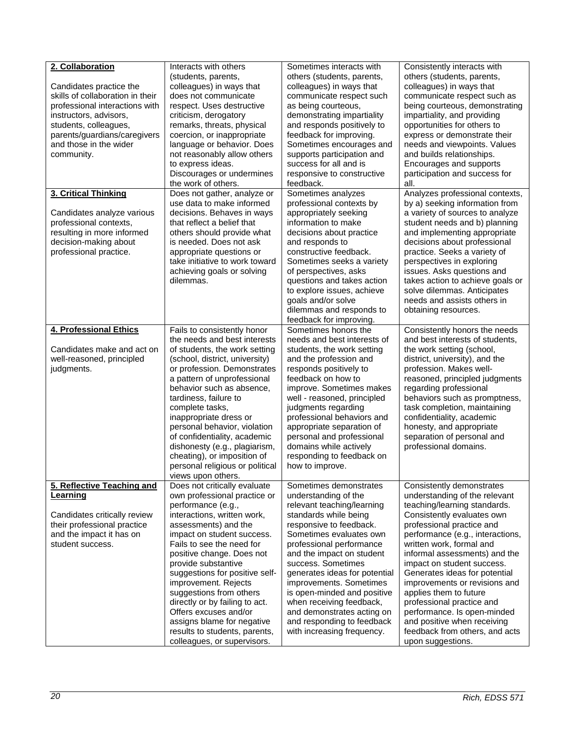| 2. Collaboration<br>Candidates practice the<br>skills of collaboration in their<br>professional interactions with<br>instructors, advisors,<br>students, colleagues,<br>parents/guardians/caregivers<br>and those in the wider<br>community.<br>3. Critical Thinking | Interacts with others<br>(students, parents,<br>colleagues) in ways that<br>does not communicate<br>respect. Uses destructive<br>criticism, derogatory<br>remarks, threats, physical<br>coercion, or inappropriate<br>language or behavior. Does<br>not reasonably allow others<br>to express ideas.<br>Discourages or undermines<br>the work of others.<br>Does not gather, analyze or                                                                                                                | Sometimes interacts with<br>others (students, parents,<br>colleagues) in ways that<br>communicate respect such<br>as being courteous,<br>demonstrating impartiality<br>and responds positively to<br>feedback for improving.<br>Sometimes encourages and<br>supports participation and<br>success for all and is<br>responsive to constructive<br>feedback.<br>Sometimes analyzes                                                                           | Consistently interacts with<br>others (students, parents,<br>colleagues) in ways that<br>communicate respect such as<br>being courteous, demonstrating<br>impartiality, and providing<br>opportunities for others to<br>express or demonstrate their<br>needs and viewpoints. Values<br>and builds relationships.<br>Encourages and supports<br>participation and success for<br>all.<br>Analyzes professional contexts,                                                                                                           |
|----------------------------------------------------------------------------------------------------------------------------------------------------------------------------------------------------------------------------------------------------------------------|--------------------------------------------------------------------------------------------------------------------------------------------------------------------------------------------------------------------------------------------------------------------------------------------------------------------------------------------------------------------------------------------------------------------------------------------------------------------------------------------------------|-------------------------------------------------------------------------------------------------------------------------------------------------------------------------------------------------------------------------------------------------------------------------------------------------------------------------------------------------------------------------------------------------------------------------------------------------------------|------------------------------------------------------------------------------------------------------------------------------------------------------------------------------------------------------------------------------------------------------------------------------------------------------------------------------------------------------------------------------------------------------------------------------------------------------------------------------------------------------------------------------------|
| Candidates analyze various<br>professional contexts,<br>resulting in more informed<br>decision-making about<br>professional practice.                                                                                                                                | use data to make informed<br>decisions. Behaves in ways<br>that reflect a belief that<br>others should provide what<br>is needed. Does not ask<br>appropriate questions or<br>take initiative to work toward<br>achieving goals or solving<br>dilemmas.                                                                                                                                                                                                                                                | professional contexts by<br>appropriately seeking<br>information to make<br>decisions about practice<br>and responds to<br>constructive feedback.<br>Sometimes seeks a variety<br>of perspectives, asks<br>questions and takes action<br>to explore issues, achieve<br>goals and/or solve<br>dilemmas and responds to<br>feedback for improving.                                                                                                            | by a) seeking information from<br>a variety of sources to analyze<br>student needs and b) planning<br>and implementing appropriate<br>decisions about professional<br>practice. Seeks a variety of<br>perspectives in exploring<br>issues. Asks questions and<br>takes action to achieve goals or<br>solve dilemmas. Anticipates<br>needs and assists others in<br>obtaining resources.                                                                                                                                            |
| 4. Professional Ethics<br>Candidates make and act on<br>well-reasoned, principled<br>judgments.                                                                                                                                                                      | Fails to consistently honor<br>the needs and best interests<br>of students, the work setting<br>(school, district, university)<br>or profession. Demonstrates<br>a pattern of unprofessional<br>behavior such as absence,<br>tardiness, failure to<br>complete tasks,<br>inappropriate dress or<br>personal behavior, violation<br>of confidentiality, academic<br>dishonesty (e.g., plagiarism,<br>cheating), or imposition of<br>personal religious or political<br>views upon others.               | Sometimes honors the<br>needs and best interests of<br>students, the work setting<br>and the profession and<br>responds positively to<br>feedback on how to<br>improve. Sometimes makes<br>well - reasoned, principled<br>judgments regarding<br>professional behaviors and<br>appropriate separation of<br>personal and professional<br>domains while actively<br>responding to feedback on<br>how to improve.                                             | Consistently honors the needs<br>and best interests of students,<br>the work setting (school,<br>district, university), and the<br>profession. Makes well-<br>reasoned, principled judgments<br>regarding professional<br>behaviors such as promptness,<br>task completion, maintaining<br>confidentiality, academic<br>honesty, and appropriate<br>separation of personal and<br>professional domains.                                                                                                                            |
| 5. Reflective Teaching and<br>Learning<br>Candidates critically review<br>their professional practice<br>and the impact it has on<br>student success.                                                                                                                | Does not critically evaluate<br>own professional practice or<br>performance (e.g.,<br>interactions, written work,<br>assessments) and the<br>impact on student success.<br>Fails to see the need for<br>positive change. Does not<br>provide substantive<br>suggestions for positive self-<br>improvement. Rejects<br>suggestions from others<br>directly or by failing to act.<br>Offers excuses and/or<br>assigns blame for negative<br>results to students, parents,<br>colleagues, or supervisors. | Sometimes demonstrates<br>understanding of the<br>relevant teaching/learning<br>standards while being<br>responsive to feedback.<br>Sometimes evaluates own<br>professional performance<br>and the impact on student<br>success. Sometimes<br>generates ideas for potential<br>improvements. Sometimes<br>is open-minded and positive<br>when receiving feedback,<br>and demonstrates acting on<br>and responding to feedback<br>with increasing frequency. | Consistently demonstrates<br>understanding of the relevant<br>teaching/learning standards.<br>Consistently evaluates own<br>professional practice and<br>performance (e.g., interactions,<br>written work, formal and<br>informal assessments) and the<br>impact on student success.<br>Generates ideas for potential<br>improvements or revisions and<br>applies them to future<br>professional practice and<br>performance. Is open-minded<br>and positive when receiving<br>feedback from others, and acts<br>upon suggestions. |